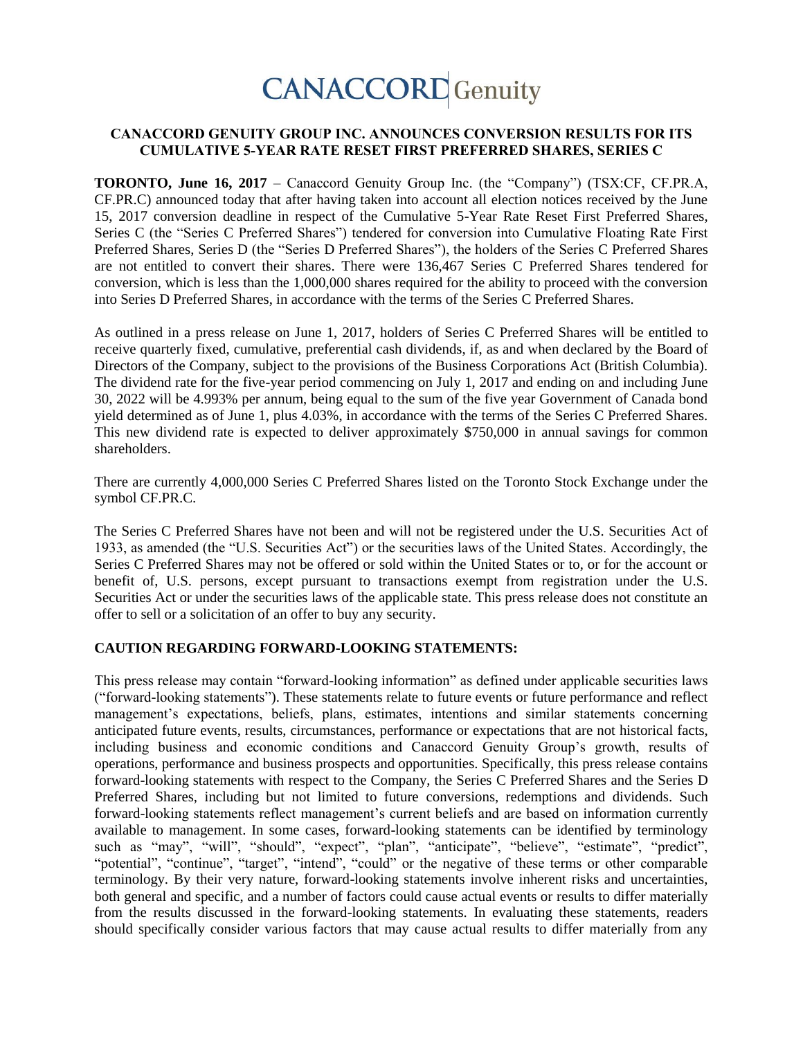# **CANACCORD** Genuity

### **CANACCORD GENUITY GROUP INC. ANNOUNCES CONVERSION RESULTS FOR ITS CUMULATIVE 5-YEAR RATE RESET FIRST PREFERRED SHARES, SERIES C**

**TORONTO, June 16, 2017** – Canaccord Genuity Group Inc. (the "Company") (TSX:CF, CF.PR.A, CF.PR.C) announced today that after having taken into account all election notices received by the June 15, 2017 conversion deadline in respect of the Cumulative 5-Year Rate Reset First Preferred Shares, Series C (the "Series C Preferred Shares") tendered for conversion into Cumulative Floating Rate First Preferred Shares, Series D (the "Series D Preferred Shares"), the holders of the Series C Preferred Shares are not entitled to convert their shares. There were 136,467 Series C Preferred Shares tendered for conversion, which is less than the 1,000,000 shares required for the ability to proceed with the conversion into Series D Preferred Shares, in accordance with the terms of the Series C Preferred Shares.

As outlined in a press release on June 1, 2017, holders of Series C Preferred Shares will be entitled to receive quarterly fixed, cumulative, preferential cash dividends, if, as and when declared by the Board of Directors of the Company, subject to the provisions of the Business Corporations Act (British Columbia). The dividend rate for the five-year period commencing on July 1, 2017 and ending on and including June 30, 2022 will be 4.993% per annum, being equal to the sum of the five year Government of Canada bond yield determined as of June 1, plus 4.03%, in accordance with the terms of the Series C Preferred Shares. This new dividend rate is expected to deliver approximately \$750,000 in annual savings for common shareholders.

There are currently 4,000,000 Series C Preferred Shares listed on the Toronto Stock Exchange under the symbol CF.PR.C.

The Series C Preferred Shares have not been and will not be registered under the U.S. Securities Act of 1933, as amended (the "U.S. Securities Act") or the securities laws of the United States. Accordingly, the Series C Preferred Shares may not be offered or sold within the United States or to, or for the account or benefit of, U.S. persons, except pursuant to transactions exempt from registration under the U.S. Securities Act or under the securities laws of the applicable state. This press release does not constitute an offer to sell or a solicitation of an offer to buy any security.

#### **CAUTION REGARDING FORWARD-LOOKING STATEMENTS:**

This press release may contain "forward-looking information" as defined under applicable securities laws ("forward-looking statements"). These statements relate to future events or future performance and reflect management's expectations, beliefs, plans, estimates, intentions and similar statements concerning anticipated future events, results, circumstances, performance or expectations that are not historical facts, including business and economic conditions and Canaccord Genuity Group's growth, results of operations, performance and business prospects and opportunities. Specifically, this press release contains forward-looking statements with respect to the Company, the Series C Preferred Shares and the Series D Preferred Shares, including but not limited to future conversions, redemptions and dividends. Such forward-looking statements reflect management's current beliefs and are based on information currently available to management. In some cases, forward-looking statements can be identified by terminology such as "may", "will", "should", "expect", "plan", "anticipate", "believe", "estimate", "predict", "potential", "continue", "target", "intend", "could" or the negative of these terms or other comparable terminology. By their very nature, forward-looking statements involve inherent risks and uncertainties, both general and specific, and a number of factors could cause actual events or results to differ materially from the results discussed in the forward-looking statements. In evaluating these statements, readers should specifically consider various factors that may cause actual results to differ materially from any